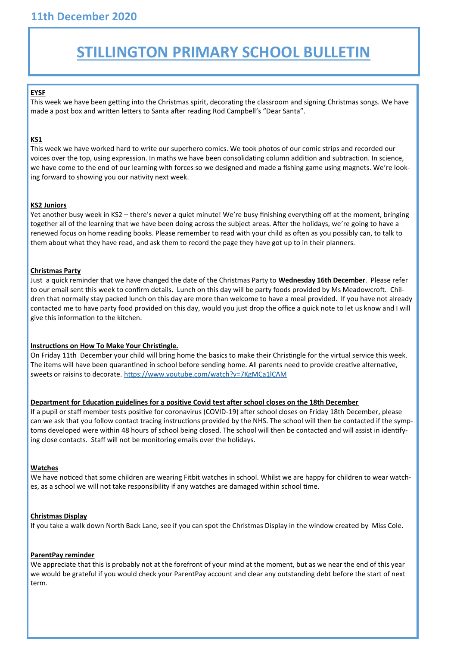# **STILLINGTON PRIMARY SCHOOL BULLETIN**

#### **EYSF**

This week we have been getting into the Christmas spirit, decorating the classroom and signing Christmas songs. We have made a post box and written letters to Santa after reading Rod Campbell's "Dear Santa".

# **KS1**

This week we have worked hard to write our superhero comics. We took photos of our comic strips and recorded our voices over the top, using expression. In maths we have been consolidating column addition and subtraction. In science, we have come to the end of our learning with forces so we designed and made a fishing game using magnets. We're looking forward to showing you our nativity next week.

#### **KS2 Juniors**

Yet another busy week in KS2 – there's never a quiet minute! We're busy finishing everything off at the moment, bringing together all of the learning that we have been doing across the subject areas. After the holidays, we're going to have a renewed focus on home reading books. Please remember to read with your child as often as you possibly can, to talk to them about what they have read, and ask them to record the page they have got up to in their planners.

#### **Christmas Party**

Just a quick reminder that we have changed the date of the Christmas Party to **Wednesday 16th December**. Please refer to our email sent this week to confirm details. Lunch on this day will be party foods provided by Ms Meadowcroft. Children that normally stay packed lunch on this day are more than welcome to have a meal provided. If you have not already contacted me to have party food provided on this day, would you just drop the office a quick note to let us know and I will give this information to the kitchen.

## **Instructions on How To Make Your Christingle.**

On Friday 11th December your child will bring home the basics to make their Christingle for the virtual service this week. The items will have been quarantined in school before sending home. All parents need to provide creative alternative, sweets or raisins to decorate. https://www.youtube.com/watch?v=7KgMCa1lCAM

## **Department for Education guidelines for a positive Covid test after school closes on the 18th December**

If a pupil or staff member tests positive for coronavirus (COVID-19) after school closes on Friday 18th December, please can we ask that you follow contact tracing instructions provided by the NHS. The school will then be contacted if the symptoms developed were within 48 hours of school being closed. The school will then be contacted and will assist in identifying close contacts. Staff will not be monitoring emails over the holidays.

## **Watches**

We have noticed that some children are wearing Fitbit watches in school. Whilst we are happy for children to wear watches, as a school we will not take responsibility if any watches are damaged within school time.

## **Christmas Display**

If you take a walk down North Back Lane, see if you can spot the Christmas Display in the window created by Miss Cole.

#### **ParentPay reminder**

We appreciate that this is probably not at the forefront of your mind at the moment, but as we near the end of this year we would be grateful if you would check your ParentPay account and clear any outstanding debt before the start of next term.